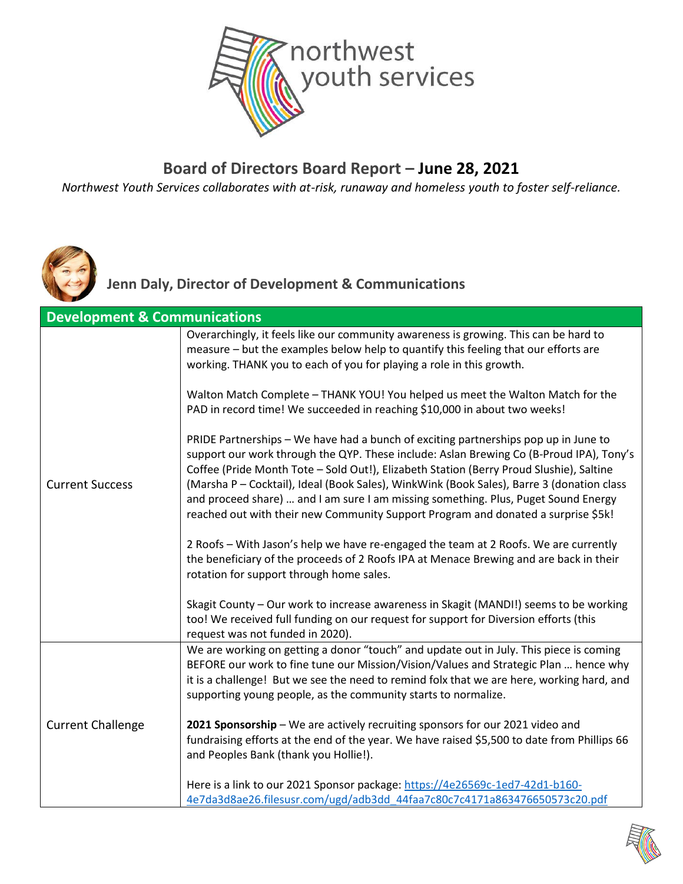

#### **Board of Directors Board Report – June 28, 2021**

*Northwest Youth Services collaborates with at-risk, runaway and homeless youth to foster self-reliance.*



**Jenn Daly, Director of Development & Communications**

|                          | <b>Development &amp; Communications</b>                                                                                                                                                                                                                                                                                                                                                                                                                                                                                                           |  |  |
|--------------------------|---------------------------------------------------------------------------------------------------------------------------------------------------------------------------------------------------------------------------------------------------------------------------------------------------------------------------------------------------------------------------------------------------------------------------------------------------------------------------------------------------------------------------------------------------|--|--|
| <b>Current Success</b>   | Overarchingly, it feels like our community awareness is growing. This can be hard to<br>measure - but the examples below help to quantify this feeling that our efforts are<br>working. THANK you to each of you for playing a role in this growth.                                                                                                                                                                                                                                                                                               |  |  |
|                          | Walton Match Complete - THANK YOU! You helped us meet the Walton Match for the<br>PAD in record time! We succeeded in reaching \$10,000 in about two weeks!                                                                                                                                                                                                                                                                                                                                                                                       |  |  |
|                          | PRIDE Partnerships - We have had a bunch of exciting partnerships pop up in June to<br>support our work through the QYP. These include: Aslan Brewing Co (B-Proud IPA), Tony's<br>Coffee (Pride Month Tote - Sold Out!), Elizabeth Station (Berry Proud Slushie), Saltine<br>(Marsha P - Cocktail), Ideal (Book Sales), WinkWink (Book Sales), Barre 3 (donation class<br>and proceed share)  and I am sure I am missing something. Plus, Puget Sound Energy<br>reached out with their new Community Support Program and donated a surprise \$5k! |  |  |
|                          | 2 Roofs - With Jason's help we have re-engaged the team at 2 Roofs. We are currently<br>the beneficiary of the proceeds of 2 Roofs IPA at Menace Brewing and are back in their<br>rotation for support through home sales.                                                                                                                                                                                                                                                                                                                        |  |  |
|                          | Skagit County - Our work to increase awareness in Skagit (MANDI!) seems to be working<br>too! We received full funding on our request for support for Diversion efforts (this<br>request was not funded in 2020).                                                                                                                                                                                                                                                                                                                                 |  |  |
|                          | We are working on getting a donor "touch" and update out in July. This piece is coming<br>BEFORE our work to fine tune our Mission/Vision/Values and Strategic Plan  hence why<br>it is a challenge! But we see the need to remind folx that we are here, working hard, and<br>supporting young people, as the community starts to normalize.                                                                                                                                                                                                     |  |  |
| <b>Current Challenge</b> | 2021 Sponsorship - We are actively recruiting sponsors for our 2021 video and<br>fundraising efforts at the end of the year. We have raised \$5,500 to date from Phillips 66<br>and Peoples Bank (thank you Hollie!).                                                                                                                                                                                                                                                                                                                             |  |  |
|                          | Here is a link to our 2021 Sponsor package: https://4e26569c-1ed7-42d1-b160-<br>4e7da3d8ae26.filesusr.com/ugd/adb3dd 44faa7c80c7c4171a863476650573c20.pdf                                                                                                                                                                                                                                                                                                                                                                                         |  |  |

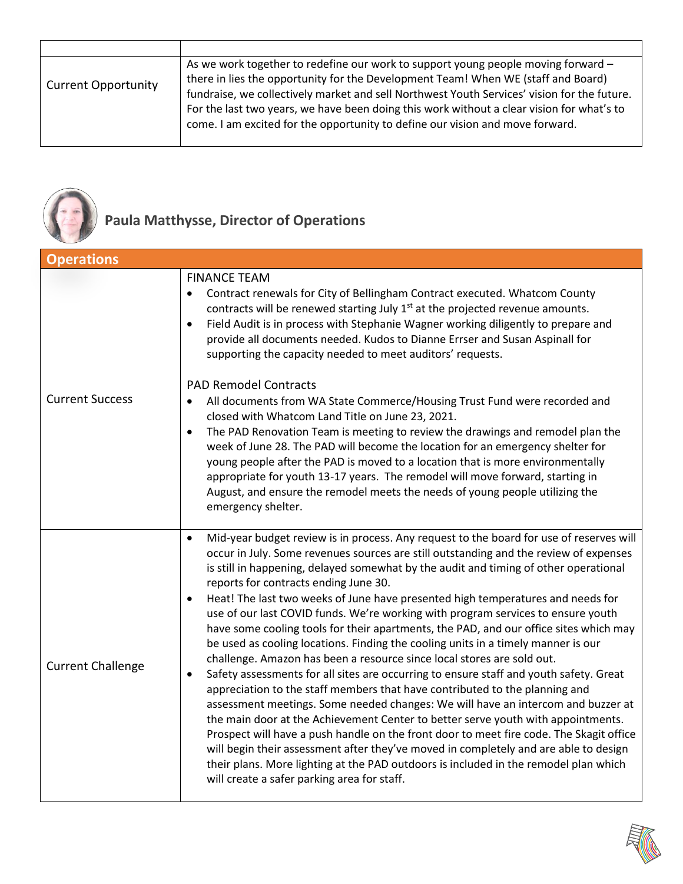| <b>Current Opportunity</b> | As we work together to redefine our work to support young people moving forward -<br>there in lies the opportunity for the Development Team! When WE (staff and Board)<br>fundraise, we collectively market and sell Northwest Youth Services' vision for the future.<br>For the last two years, we have been doing this work without a clear vision for what's to<br>come. I am excited for the opportunity to define our vision and move forward. |
|----------------------------|-----------------------------------------------------------------------------------------------------------------------------------------------------------------------------------------------------------------------------------------------------------------------------------------------------------------------------------------------------------------------------------------------------------------------------------------------------|



## **Paula Matthysse, Director of Operations**

| <b>Operations</b>        |                                                                                                                                                                                                                                                                                                                                                                                                                                                                                                                                                                                                                                                                                                                                                                                                                                                                                                                                                                                                                                                                                                                                                                                                                                                                                                                                                                                                                                                                    |
|--------------------------|--------------------------------------------------------------------------------------------------------------------------------------------------------------------------------------------------------------------------------------------------------------------------------------------------------------------------------------------------------------------------------------------------------------------------------------------------------------------------------------------------------------------------------------------------------------------------------------------------------------------------------------------------------------------------------------------------------------------------------------------------------------------------------------------------------------------------------------------------------------------------------------------------------------------------------------------------------------------------------------------------------------------------------------------------------------------------------------------------------------------------------------------------------------------------------------------------------------------------------------------------------------------------------------------------------------------------------------------------------------------------------------------------------------------------------------------------------------------|
| <b>Current Success</b>   | <b>FINANCE TEAM</b><br>Contract renewals for City of Bellingham Contract executed. Whatcom County<br>$\bullet$<br>contracts will be renewed starting July 1 <sup>st</sup> at the projected revenue amounts.<br>Field Audit is in process with Stephanie Wagner working diligently to prepare and<br>$\bullet$<br>provide all documents needed. Kudos to Dianne Errser and Susan Aspinall for<br>supporting the capacity needed to meet auditors' requests.<br><b>PAD Remodel Contracts</b><br>All documents from WA State Commerce/Housing Trust Fund were recorded and<br>$\bullet$<br>closed with Whatcom Land Title on June 23, 2021.<br>The PAD Renovation Team is meeting to review the drawings and remodel plan the<br>$\bullet$<br>week of June 28. The PAD will become the location for an emergency shelter for<br>young people after the PAD is moved to a location that is more environmentally<br>appropriate for youth 13-17 years. The remodel will move forward, starting in<br>August, and ensure the remodel meets the needs of young people utilizing the<br>emergency shelter.                                                                                                                                                                                                                                                                                                                                                                 |
| <b>Current Challenge</b> | Mid-year budget review is in process. Any request to the board for use of reserves will<br>$\bullet$<br>occur in July. Some revenues sources are still outstanding and the review of expenses<br>is still in happening, delayed somewhat by the audit and timing of other operational<br>reports for contracts ending June 30.<br>Heat! The last two weeks of June have presented high temperatures and needs for<br>$\bullet$<br>use of our last COVID funds. We're working with program services to ensure youth<br>have some cooling tools for their apartments, the PAD, and our office sites which may<br>be used as cooling locations. Finding the cooling units in a timely manner is our<br>challenge. Amazon has been a resource since local stores are sold out.<br>Safety assessments for all sites are occurring to ensure staff and youth safety. Great<br>$\bullet$<br>appreciation to the staff members that have contributed to the planning and<br>assessment meetings. Some needed changes: We will have an intercom and buzzer at<br>the main door at the Achievement Center to better serve youth with appointments.<br>Prospect will have a push handle on the front door to meet fire code. The Skagit office<br>will begin their assessment after they've moved in completely and are able to design<br>their plans. More lighting at the PAD outdoors is included in the remodel plan which<br>will create a safer parking area for staff. |

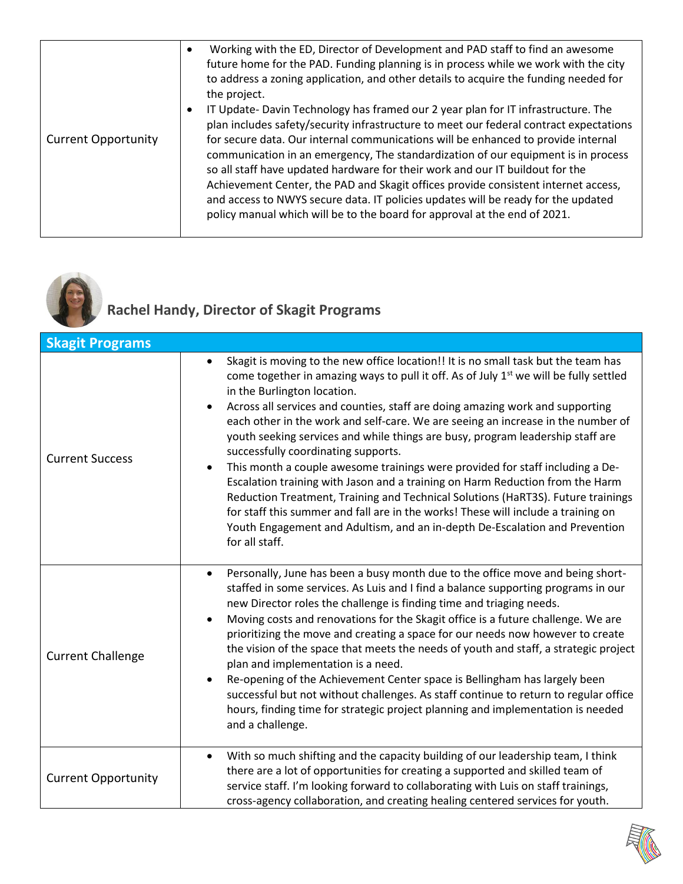| <b>Current Opportunity</b> | Working with the ED, Director of Development and PAD staff to find an awesome<br>$\bullet$<br>future home for the PAD. Funding planning is in process while we work with the city<br>to address a zoning application, and other details to acquire the funding needed for<br>the project.<br>IT Update-Davin Technology has framed our 2 year plan for IT infrastructure. The<br>plan includes safety/security infrastructure to meet our federal contract expectations<br>for secure data. Our internal communications will be enhanced to provide internal<br>communication in an emergency, The standardization of our equipment is in process<br>so all staff have updated hardware for their work and our IT buildout for the<br>Achievement Center, the PAD and Skagit offices provide consistent internet access,<br>and access to NWYS secure data. IT policies updates will be ready for the updated<br>policy manual which will be to the board for approval at the end of 2021. |
|----------------------------|--------------------------------------------------------------------------------------------------------------------------------------------------------------------------------------------------------------------------------------------------------------------------------------------------------------------------------------------------------------------------------------------------------------------------------------------------------------------------------------------------------------------------------------------------------------------------------------------------------------------------------------------------------------------------------------------------------------------------------------------------------------------------------------------------------------------------------------------------------------------------------------------------------------------------------------------------------------------------------------------|
|----------------------------|--------------------------------------------------------------------------------------------------------------------------------------------------------------------------------------------------------------------------------------------------------------------------------------------------------------------------------------------------------------------------------------------------------------------------------------------------------------------------------------------------------------------------------------------------------------------------------------------------------------------------------------------------------------------------------------------------------------------------------------------------------------------------------------------------------------------------------------------------------------------------------------------------------------------------------------------------------------------------------------------|



#### **Rachel Handy, Director of Skagit Programs**

| <b>Skagit Programs</b>     |                                                                                                                                                                                                                                                                                                                                                                                                                                                                                                                                                                                                                                                                                                                                                                                                                                                                                                                                                                               |
|----------------------------|-------------------------------------------------------------------------------------------------------------------------------------------------------------------------------------------------------------------------------------------------------------------------------------------------------------------------------------------------------------------------------------------------------------------------------------------------------------------------------------------------------------------------------------------------------------------------------------------------------------------------------------------------------------------------------------------------------------------------------------------------------------------------------------------------------------------------------------------------------------------------------------------------------------------------------------------------------------------------------|
| <b>Current Success</b>     | Skagit is moving to the new office location!! It is no small task but the team has<br>$\bullet$<br>come together in amazing ways to pull it off. As of July 1 <sup>st</sup> we will be fully settled<br>in the Burlington location.<br>Across all services and counties, staff are doing amazing work and supporting<br>each other in the work and self-care. We are seeing an increase in the number of<br>youth seeking services and while things are busy, program leadership staff are<br>successfully coordinating supports.<br>This month a couple awesome trainings were provided for staff including a De-<br>Escalation training with Jason and a training on Harm Reduction from the Harm<br>Reduction Treatment, Training and Technical Solutions (HaRT3S). Future trainings<br>for staff this summer and fall are in the works! These will include a training on<br>Youth Engagement and Adultism, and an in-depth De-Escalation and Prevention<br>for all staff. |
| <b>Current Challenge</b>   | Personally, June has been a busy month due to the office move and being short-<br>$\bullet$<br>staffed in some services. As Luis and I find a balance supporting programs in our<br>new Director roles the challenge is finding time and triaging needs.<br>Moving costs and renovations for the Skagit office is a future challenge. We are<br>prioritizing the move and creating a space for our needs now however to create<br>the vision of the space that meets the needs of youth and staff, a strategic project<br>plan and implementation is a need.<br>Re-opening of the Achievement Center space is Bellingham has largely been<br>$\bullet$<br>successful but not without challenges. As staff continue to return to regular office<br>hours, finding time for strategic project planning and implementation is needed<br>and a challenge.                                                                                                                         |
| <b>Current Opportunity</b> | With so much shifting and the capacity building of our leadership team, I think<br>$\bullet$<br>there are a lot of opportunities for creating a supported and skilled team of<br>service staff. I'm looking forward to collaborating with Luis on staff trainings,<br>cross-agency collaboration, and creating healing centered services for youth.                                                                                                                                                                                                                                                                                                                                                                                                                                                                                                                                                                                                                           |

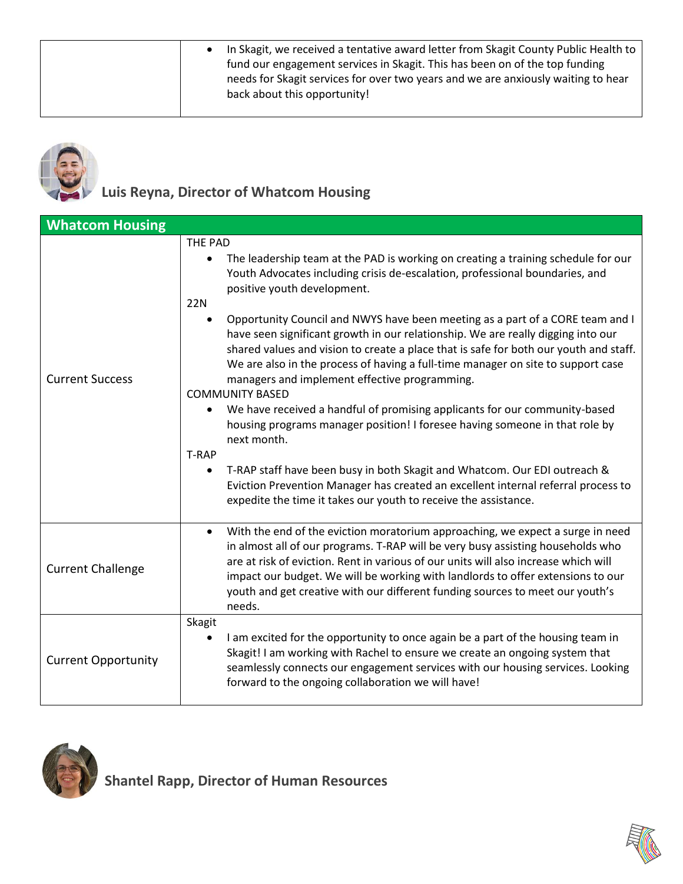|  |  | In Skagit, we received a tentative award letter from Skagit County Public Health to<br>fund our engagement services in Skagit. This has been on of the top funding<br>needs for Skagit services for over two years and we are anxiously waiting to hear<br>back about this opportunity! |
|--|--|-----------------------------------------------------------------------------------------------------------------------------------------------------------------------------------------------------------------------------------------------------------------------------------------|
|--|--|-----------------------------------------------------------------------------------------------------------------------------------------------------------------------------------------------------------------------------------------------------------------------------------------|



### **Luis Reyna, Director of Whatcom Housing**

| <b>Whatcom Housing</b>     |                                                                                                                                                                                                                                                                                                                                                                                                                                                                                                                                                                                                                                                                                                                                                                                                                                                                                                                                                                                                                                                                                                                         |
|----------------------------|-------------------------------------------------------------------------------------------------------------------------------------------------------------------------------------------------------------------------------------------------------------------------------------------------------------------------------------------------------------------------------------------------------------------------------------------------------------------------------------------------------------------------------------------------------------------------------------------------------------------------------------------------------------------------------------------------------------------------------------------------------------------------------------------------------------------------------------------------------------------------------------------------------------------------------------------------------------------------------------------------------------------------------------------------------------------------------------------------------------------------|
| <b>Current Success</b>     | THE PAD<br>The leadership team at the PAD is working on creating a training schedule for our<br>$\bullet$<br>Youth Advocates including crisis de-escalation, professional boundaries, and<br>positive youth development.<br><b>22N</b><br>Opportunity Council and NWYS have been meeting as a part of a CORE team and I<br>have seen significant growth in our relationship. We are really digging into our<br>shared values and vision to create a place that is safe for both our youth and staff.<br>We are also in the process of having a full-time manager on site to support case<br>managers and implement effective programming.<br><b>COMMUNITY BASED</b><br>We have received a handful of promising applicants for our community-based<br>$\bullet$<br>housing programs manager position! I foresee having someone in that role by<br>next month.<br>T-RAP<br>T-RAP staff have been busy in both Skagit and Whatcom. Our EDI outreach &<br>$\bullet$<br>Eviction Prevention Manager has created an excellent internal referral process to<br>expedite the time it takes our youth to receive the assistance. |
| <b>Current Challenge</b>   | With the end of the eviction moratorium approaching, we expect a surge in need<br>$\bullet$<br>in almost all of our programs. T-RAP will be very busy assisting households who<br>are at risk of eviction. Rent in various of our units will also increase which will<br>impact our budget. We will be working with landlords to offer extensions to our<br>youth and get creative with our different funding sources to meet our youth's<br>needs.                                                                                                                                                                                                                                                                                                                                                                                                                                                                                                                                                                                                                                                                     |
| <b>Current Opportunity</b> | Skagit<br>I am excited for the opportunity to once again be a part of the housing team in<br>Skagit! I am working with Rachel to ensure we create an ongoing system that<br>seamlessly connects our engagement services with our housing services. Looking<br>forward to the ongoing collaboration we will have!                                                                                                                                                                                                                                                                                                                                                                                                                                                                                                                                                                                                                                                                                                                                                                                                        |



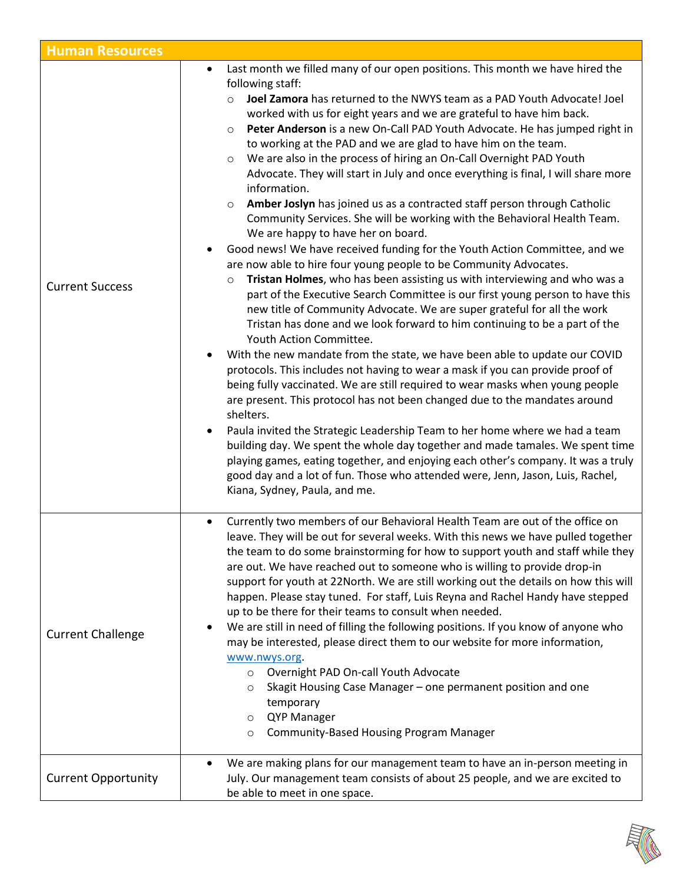| <b>Human Resources</b>     |                                                                                                                                                                                                                                                                                                                                                                                                                                                                                                                                                                                                                                                                                                                                                                                                                                                                                                                                                                                                                                                                                                                                                                                                                                                                                                                                                                                                                                                                                                                                                                                                                                                                                                                                                                                                                                                                                                                                                                                                                                                                             |
|----------------------------|-----------------------------------------------------------------------------------------------------------------------------------------------------------------------------------------------------------------------------------------------------------------------------------------------------------------------------------------------------------------------------------------------------------------------------------------------------------------------------------------------------------------------------------------------------------------------------------------------------------------------------------------------------------------------------------------------------------------------------------------------------------------------------------------------------------------------------------------------------------------------------------------------------------------------------------------------------------------------------------------------------------------------------------------------------------------------------------------------------------------------------------------------------------------------------------------------------------------------------------------------------------------------------------------------------------------------------------------------------------------------------------------------------------------------------------------------------------------------------------------------------------------------------------------------------------------------------------------------------------------------------------------------------------------------------------------------------------------------------------------------------------------------------------------------------------------------------------------------------------------------------------------------------------------------------------------------------------------------------------------------------------------------------------------------------------------------------|
| <b>Current Success</b>     | Last month we filled many of our open positions. This month we have hired the<br>$\bullet$<br>following staff:<br>Joel Zamora has returned to the NWYS team as a PAD Youth Advocate! Joel<br>$\circ$<br>worked with us for eight years and we are grateful to have him back.<br>Peter Anderson is a new On-Call PAD Youth Advocate. He has jumped right in<br>$\circ$<br>to working at the PAD and we are glad to have him on the team.<br>We are also in the process of hiring an On-Call Overnight PAD Youth<br>$\circ$<br>Advocate. They will start in July and once everything is final, I will share more<br>information.<br>Amber Joslyn has joined us as a contracted staff person through Catholic<br>$\circ$<br>Community Services. She will be working with the Behavioral Health Team.<br>We are happy to have her on board.<br>Good news! We have received funding for the Youth Action Committee, and we<br>are now able to hire four young people to be Community Advocates.<br>Tristan Holmes, who has been assisting us with interviewing and who was a<br>$\circ$<br>part of the Executive Search Committee is our first young person to have this<br>new title of Community Advocate. We are super grateful for all the work<br>Tristan has done and we look forward to him continuing to be a part of the<br>Youth Action Committee.<br>With the new mandate from the state, we have been able to update our COVID<br>protocols. This includes not having to wear a mask if you can provide proof of<br>being fully vaccinated. We are still required to wear masks when young people<br>are present. This protocol has not been changed due to the mandates around<br>shelters.<br>Paula invited the Strategic Leadership Team to her home where we had a team<br>building day. We spent the whole day together and made tamales. We spent time<br>playing games, eating together, and enjoying each other's company. It was a truly<br>good day and a lot of fun. Those who attended were, Jenn, Jason, Luis, Rachel,<br>Kiana, Sydney, Paula, and me. |
| <b>Current Challenge</b>   | Currently two members of our Behavioral Health Team are out of the office on<br>leave. They will be out for several weeks. With this news we have pulled together<br>the team to do some brainstorming for how to support youth and staff while they<br>are out. We have reached out to someone who is willing to provide drop-in<br>support for youth at 22North. We are still working out the details on how this will<br>happen. Please stay tuned. For staff, Luis Reyna and Rachel Handy have stepped<br>up to be there for their teams to consult when needed.<br>We are still in need of filling the following positions. If you know of anyone who<br>may be interested, please direct them to our website for more information,<br>www.nwys.org<br>Overnight PAD On-call Youth Advocate<br>$\circ$<br>Skagit Housing Case Manager - one permanent position and one<br>O<br>temporary<br>QYP Manager<br>$\circ$<br>Community-Based Housing Program Manager<br>$\circ$                                                                                                                                                                                                                                                                                                                                                                                                                                                                                                                                                                                                                                                                                                                                                                                                                                                                                                                                                                                                                                                                                               |
| <b>Current Opportunity</b> | We are making plans for our management team to have an in-person meeting in<br>July. Our management team consists of about 25 people, and we are excited to<br>be able to meet in one space.                                                                                                                                                                                                                                                                                                                                                                                                                                                                                                                                                                                                                                                                                                                                                                                                                                                                                                                                                                                                                                                                                                                                                                                                                                                                                                                                                                                                                                                                                                                                                                                                                                                                                                                                                                                                                                                                                |